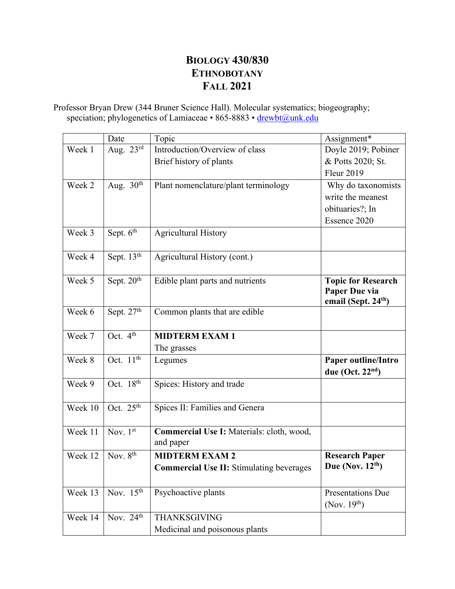# **BIOLOGY 430/830 ETHNOBOTANY FALL 2021**

Professor Bryan Drew (344 Bruner Science Hall). Molecular systematics; biogeography; speciation; phylogenetics of Lamiaceae • 865-8883 • drewbt@unk.edu

|         | Date                             | Topic                                                  | Assignment*                                                                   |  |
|---------|----------------------------------|--------------------------------------------------------|-------------------------------------------------------------------------------|--|
| Week 1  | Aug. $23^{\overline{\text{rd}}}$ | Introduction/Overview of class                         | Doyle 2019; Pobiner                                                           |  |
|         |                                  | Brief history of plants                                | & Potts 2020; St.                                                             |  |
|         |                                  |                                                        | <b>Fleur 2019</b>                                                             |  |
| Week 2  | Aug. $30th$                      | Plant nomenclature/plant terminology                   | Why do taxonomists                                                            |  |
|         |                                  |                                                        | write the meanest                                                             |  |
|         |                                  |                                                        | obituaries?; In                                                               |  |
|         |                                  |                                                        | Essence 2020                                                                  |  |
| Week 3  | Sept. 6 <sup>th</sup>            | <b>Agricultural History</b>                            |                                                                               |  |
| Week 4  | Sept. 13th                       | Agricultural History (cont.)                           |                                                                               |  |
| Week 5  | Sept. 20 <sup>th</sup>           | Edible plant parts and nutrients                       | <b>Topic for Research</b><br>Paper Due via<br>email (Sept. 24 <sup>th</sup> ) |  |
| Week 6  | Sept. 27th                       | Common plants that are edible                          |                                                                               |  |
| Week 7  | Oct. $4th$                       | <b>MIDTERM EXAM 1</b>                                  |                                                                               |  |
|         |                                  | The grasses                                            |                                                                               |  |
| Week 8  | Oct. $11th$                      | Legumes                                                | Paper outline/Intro                                                           |  |
|         |                                  |                                                        | due (Oct. $22nd$ )                                                            |  |
| Week 9  | Oct. $18th$                      | Spices: History and trade                              |                                                                               |  |
| Week 10 | Oct. $25th$                      | Spices II: Families and Genera                         |                                                                               |  |
| Week 11 | Nov. $1st$                       | Commercial Use I: Materials: cloth, wood,<br>and paper |                                                                               |  |
| Week 12 | Nov. $8th$                       | <b>MIDTERM EXAM 2</b>                                  | <b>Research Paper</b>                                                         |  |
|         |                                  | <b>Commercial Use II: Stimulating beverages</b>        | Due (Nov. $12^{th}$ )                                                         |  |
| Week 13 | Nov. $15th$                      | Psychoactive plants                                    | <b>Presentations Due</b><br>(Nov. $19th$ )                                    |  |
| Week 14 | Nov. $24th$                      | <b>THANKSGIVING</b>                                    |                                                                               |  |
|         |                                  | Medicinal and poisonous plants                         |                                                                               |  |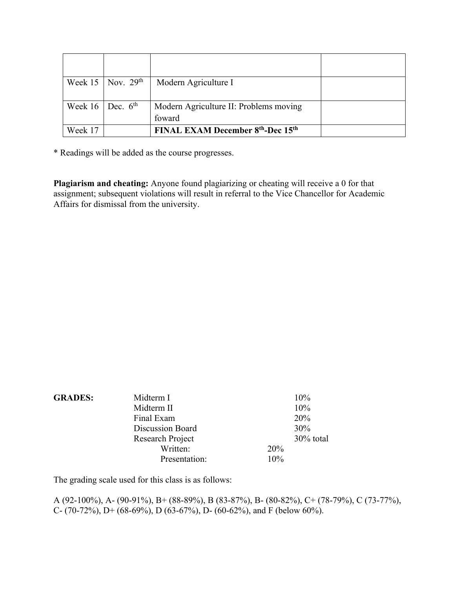|                      | Week 15   Nov. $29th$ | Modern Agriculture I                                      |  |
|----------------------|-----------------------|-----------------------------------------------------------|--|
| Week 16   Dec. $6th$ |                       | Modern Agriculture II: Problems moving                    |  |
|                      |                       | foward                                                    |  |
| Week 17              |                       | FINAL EXAM December 8 <sup>th</sup> -Dec 15 <sup>th</sup> |  |

\* Readings will be added as the course progresses.

**Plagiarism and cheating:** Anyone found plagiarizing or cheating will receive a 0 for that assignment; subsequent violations will result in referral to the Vice Chancellor for Academic Affairs for dismissal from the university.

| <b>GRADES:</b> | Midterm I               |     | 10%       |
|----------------|-------------------------|-----|-----------|
|                | Midterm II              |     | 10%       |
|                | Final Exam              |     | 20%       |
|                | <b>Discussion Board</b> |     | 30%       |
|                | Research Project        |     | 30% total |
|                | Written:                | 20% |           |
|                | Presentation:           | 10% |           |

The grading scale used for this class is as follows:

A (92-100%), A- (90-91%), B+ (88-89%), B (83-87%), B- (80-82%), C+ (78-79%), C (73-77%), C- (70-72%), D+ (68-69%), D (63-67%), D- (60-62%), and F (below 60%).